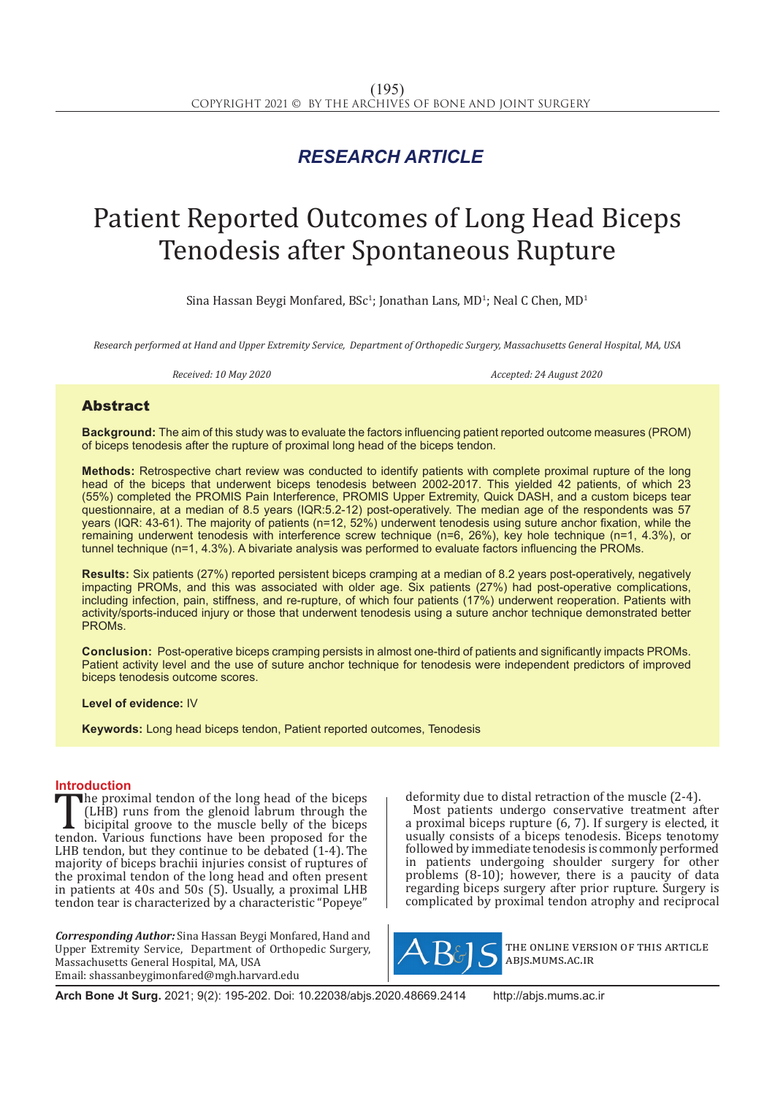## *RESEARCH ARTICLE*

# Patient Reported Outcomes of Long Head Biceps Tenodesis after Spontaneous Rupture

Sina Hassan Beygi Monfared,  $BSc^1$ ; Jonathan Lans, MD<sup>1</sup>; Neal C Chen, MD<sup>1</sup>

*Research performed at Hand and Upper Extremity Service, Department of Orthopedic Surgery, Massachusetts General Hospital, MA, USA*

**Received: 10 May 2020** Accepted: 24 August 2020

### Abstract

**Background:** The aim of this study was to evaluate the factors influencing patient reported outcome measures (PROM) of biceps tenodesis after the rupture of proximal long head of the biceps tendon.

**Methods:** Retrospective chart review was conducted to identify patients with complete proximal rupture of the long head of the biceps that underwent biceps tenodesis between 2002-2017. This yielded 42 patients, of which 23 (55%) completed the PROMIS Pain Interference, PROMIS Upper Extremity, Quick DASH, and a custom biceps tear questionnaire, at a median of 8.5 years (IQR:5.2-12) post-operatively. The median age of the respondents was 57 years (IQR: 43-61). The majority of patients (n=12, 52%) underwent tenodesis using suture anchor fixation, while the remaining underwent tenodesis with interference screw technique (n=6, 26%), key hole technique (n=1, 4.3%), or tunnel technique (n=1, 4.3%). A bivariate analysis was performed to evaluate factors influencing the PROMs.

**Results:** Six patients (27%) reported persistent biceps cramping at a median of 8.2 years post-operatively, negatively impacting PROMs, and this was associated with older age. Six patients (27%) had post-operative complications, including infection, pain, stiffness, and re-rupture, of which four patients (17%) underwent reoperation. Patients with activity/sports-induced injury or those that underwent tenodesis using a suture anchor technique demonstrated better PROMs.

**Conclusion:** Post-operative biceps cramping persists in almost one-third of patients and significantly impacts PROMs. Patient activity level and the use of suture anchor technique for tenodesis were independent predictors of improved biceps tenodesis outcome scores.

**Level of evidence:** IV

**Keywords:** Long head biceps tendon, Patient reported outcomes, Tenodesis

**Introduction**<br>The proximal tendon of the long head of the biceps The proximal tendon of the long head of the biceps<br>
(LHB) runs from the glenoid labrum through the<br>
bicipital groove to the muscle belly of the biceps<br>
tendon. Various functions have been proposed for the<br>
LHB tendon but t (LHB) runs from the glenoid labrum through the bicipital groove to the muscle belly of the biceps LHB tendon, but they continue to be debated (1-4). The majority of biceps brachii injuries consist of ruptures of the proximal tendon of the long head and often present in patients at 40s and 50s (5). Usually, a proximal LHB tendon tear is characterized by a characteristic "Popeye"

*Corresponding Author:* Sina Hassan Beygi Monfared, Hand and Upper Extremity Service, Department of Orthopedic Surgery, Massachusetts General Hospital, MA, USA Email: shassanbeygimonfared@mgh.harvard.edu

deformity due to distal retraction of the muscle (2-4). Most patients undergo conservative treatment after a proximal biceps rupture (6, 7). If surgery is elected, it usually consists of a biceps tenodesis. Biceps tenotomy followed by immediate tenodesis is commonly performed in patients undergoing shoulder surgery for other problems (8-10); however, there is a paucity of data regarding biceps surgery after prior rupture. Surgery is complicated by proximal tendon atrophy and reciprocal



the online version of this article abjs.mums.ac.ir

**Arch Bone Jt Surg.** 2021; 9(2): 195-202. Doi: 10.22038/abjs.2020.48669.2414 http://abjs.mums.ac.ir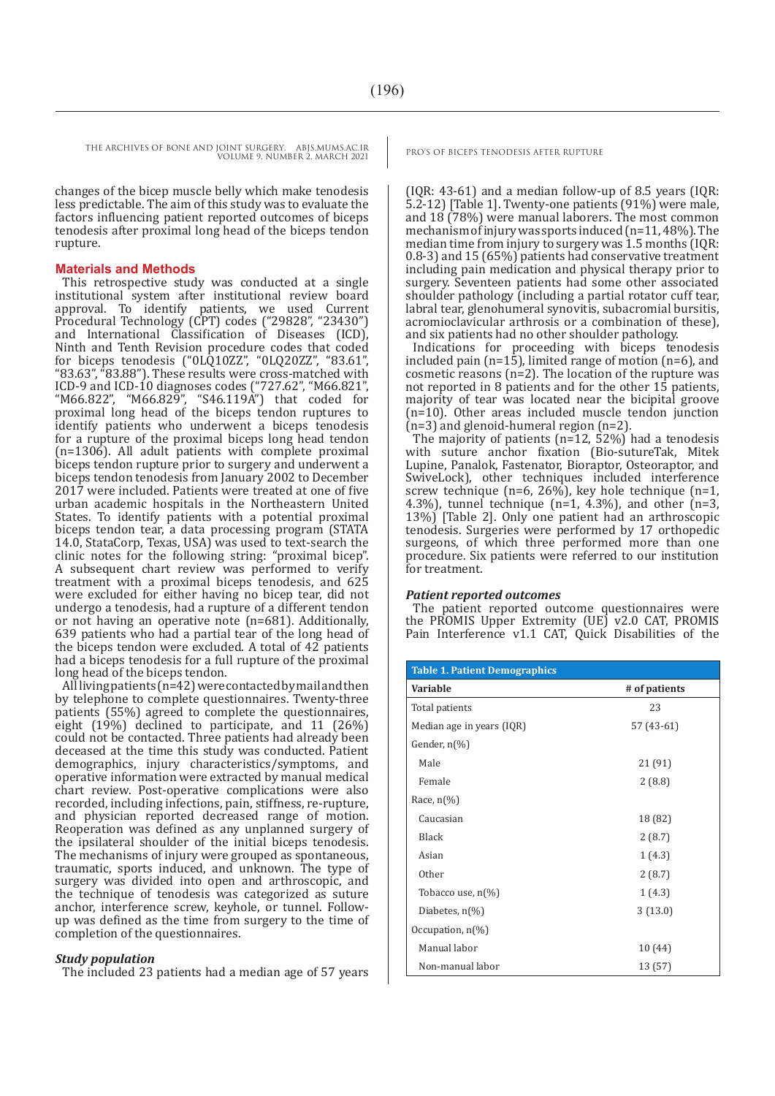changes of the bicep muscle belly which make tenodesis less predictable. The aim of this study was to evaluate the factors influencing patient reported outcomes of biceps tenodesis after proximal long head of the biceps tendon rupture.

#### **Materials and Methods**

This retrospective study was conducted at a single institutional system after institutional review board approval. To identify patients, we used Current Procedural Technology (CPT) codes ("29828", "23430") and International Classification of Diseases (ICD), Ninth and Tenth Revision procedure codes that coded for biceps tenodesis ("0LQ10ZZ", "0LQ20ZZ", "83.61", "83.63", "83.88"). These results were cross-matched with ICD-9 and ICD-10 diagnoses codes ("727.62", "M66.821", "M66.822", "M66.829", "S46.119A") that coded for proximal long head of the biceps tendon ruptures to identify patients who underwent a biceps tenodesis for a rupture of the proximal biceps long head tendon (n=1306). All adult patients with complete proximal biceps tendon rupture prior to surgery and underwent a biceps tendon tenodesis from January 2002 to December 2017 were included. Patients were treated at one of five urban academic hospitals in the Northeastern United States. To identify patients with a potential proximal biceps tendon tear, a data processing program (STATA 14.0, StataCorp, Texas, USA) was used to text-search the clinic notes for the following string: "proximal bicep". A subsequent chart review was performed to verify treatment with a proximal biceps tenodesis, and 625 were excluded for either having no bicep tear, did not undergo a tenodesis, had a rupture of a different tendon or not having an operative note (n=681). Additionally, 639 patients who had a partial tear of the long head of the biceps tendon were excluded. A total of 42 patients had a biceps tenodesis for a full rupture of the proximal long head of the biceps tendon.

All living patients (n=42) were contacted by mail and then by telephone to complete questionnaires. Twenty-three patients (55%) agreed to complete the questionnaires, eight (19%) declined to participate, and 11 (26%) could not be contacted. Three patients had already been deceased at the time this study was conducted. Patient demographics, injury characteristics/symptoms, and operative information were extracted by manual medical chart review. Post-operative complications were also recorded, including infections, pain, stiffness, re-rupture, and physician reported decreased range of motion. Reoperation was defined as any unplanned surgery of the ipsilateral shoulder of the initial biceps tenodesis. The mechanisms of injury were grouped as spontaneous, traumatic, sports induced, and unknown. The type of surgery was divided into open and arthroscopic, and the technique of tenodesis was categorized as suture anchor, interference screw, keyhole, or tunnel. Followup was defined as the time from surgery to the time of completion of the questionnaires.

#### *Study population*

The included 23 patients had a median age of 57 years

(IQR: 43-61) and a median follow-up of 8.5 years (IQR: 5.2-12) [Table 1]. Twenty-one patients (91%) were male, and 18 (78%) were manual laborers. The most common mechanism of injury was sports induced (n=11, 48%). The median time from injury to surgery was 1.5 months (IQR: 0.8-3) and 15 (65%) patients had conservative treatment including pain medication and physical therapy prior to surgery. Seventeen patients had some other associated shoulder pathology (including a partial rotator cuff tear, labral tear, glenohumeral synovitis, subacromial bursitis, acromioclavicular arthrosis or a combination of these), and six patients had no other shoulder pathology.

Indications for proceeding with biceps tenodesis included pain ( $n=15$ ), limited range of motion ( $n=6$ ), and cosmetic reasons (n=2). The location of the rupture was not reported in 8 patients and for the other 15 patients, majority of tear was located near the bicipital groove (n=10). Other areas included muscle tendon junction (n=3) and glenoid-humeral region (n=2).

The majority of patients (n=12, 52%) had a tenodesis with suture anchor fixation (Bio-sutureTak, Mitek Lupine, Panalok, Fastenator, Bioraptor, Osteoraptor, and SwiveLock), other techniques included interference screw technique (n=6, 26%), key hole technique (n=1, 4.3%), tunnel technique ( $n=1$ , 4.3%), and other ( $n=3$ , 13%) [Table 2]. Only one patient had an arthroscopic tenodesis. Surgeries were performed by 17 orthopedic surgeons, of which three performed more than one procedure. Six patients were referred to our institution for treatment.

#### *Patient reported outcomes*

The patient reported outcome questionnaires were the PROMIS Upper Extremity (UE) v2.0 CAT, PROMIS Pain Interference v1.1 CAT, Quick Disabilities of the

| <b>Table 1. Patient Demographics</b> |               |  |
|--------------------------------------|---------------|--|
| Variable                             | # of patients |  |
| Total patients                       | 23            |  |
| Median age in years (IQR)            | $57(43-61)$   |  |
| Gender, $n\frac{1}{6}$               |               |  |
| Male                                 | 21 (91)       |  |
| Female                               | 2(8.8)        |  |
| Race, n(%)                           |               |  |
| Caucasian                            | 18 (82)       |  |
| Black                                | 2(8.7)        |  |
| Asian                                | 1(4.3)        |  |
| Other                                | 2(8.7)        |  |
| Tobacco use, $n(\%)$                 | 1(4.3)        |  |
| Diabetes, $n\binom{0}{0}$            | 3(13.0)       |  |
| Occupation, $n(\%)$                  |               |  |
| Manual labor                         | 10(44)        |  |
| Non-manual labor                     | 13 (57)       |  |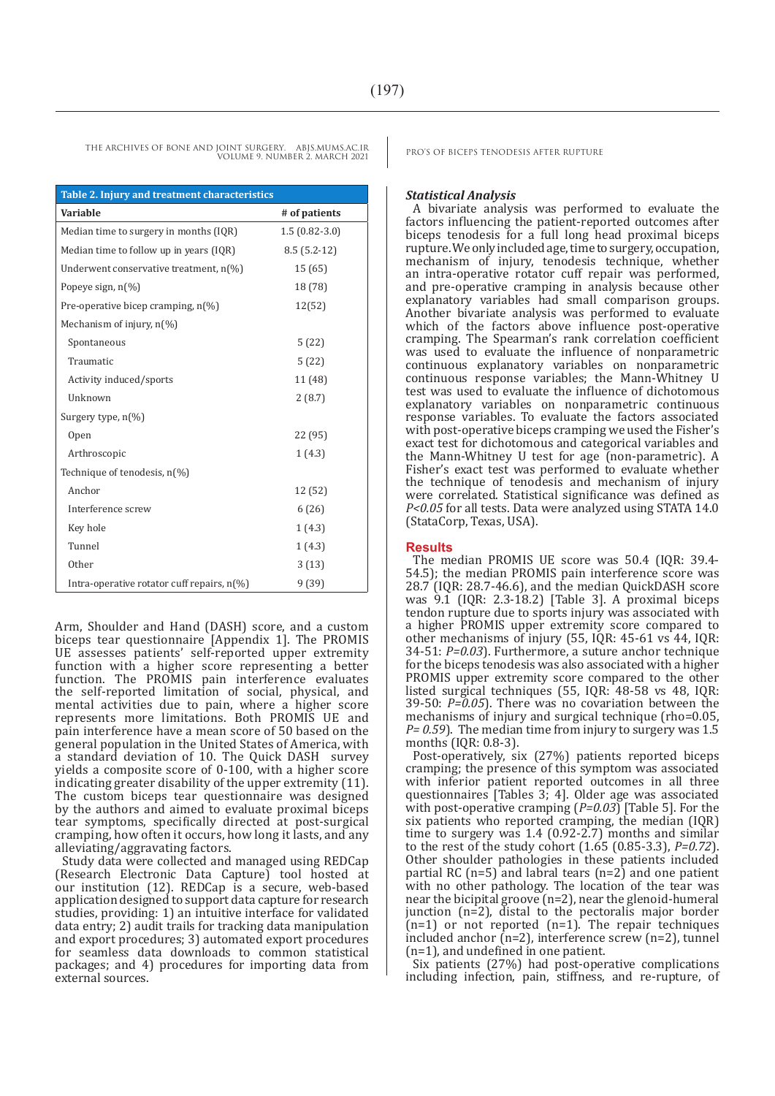| Table 2. Injury and treatment characteristics |                 |  |  |
|-----------------------------------------------|-----------------|--|--|
| Variable                                      | # of patients   |  |  |
| Median time to surgery in months (IQR)        | $1.5(0.82-3.0)$ |  |  |
| Median time to follow up in years (IQR)       | $8.5(5.2-12)$   |  |  |
| Underwent conservative treatment, $n(\%)$     | 15(65)          |  |  |
| Popeye sign, $n(\%)$                          | 18 (78)         |  |  |
| Pre-operative bicep cramping, $n(\%)$         | 12(52)          |  |  |
| Mechanism of injury, $n(\%)$                  |                 |  |  |
| Spontaneous                                   | 5(22)           |  |  |
| Traumatic                                     | 5(22)           |  |  |
| Activity induced/sports                       | 11 (48)         |  |  |
| Unknown                                       | 2(8.7)          |  |  |
| Surgery type, $n(\%)$                         |                 |  |  |
| Open                                          | 22 (95)         |  |  |
| Arthroscopic                                  | 1(4.3)          |  |  |
| Technique of tenodesis, n(%)                  |                 |  |  |
| Anchor                                        | 12 (52)         |  |  |
| Interference screw                            | 6(26)           |  |  |
| Key hole                                      | 1(4.3)          |  |  |
| Tunnel                                        | 1(4.3)          |  |  |
| <b>Other</b>                                  | 3(13)           |  |  |
| Intra-operative rotator cuff repairs, n(%)    | 9(39)           |  |  |

Arm, Shoulder and Hand (DASH) score, and a custom biceps tear questionnaire [Appendix 1]. The PROMIS UE assesses patients' self-reported upper extremity function with a higher score representing a better function. The PROMIS pain interference evaluates the self-reported limitation of social, physical, and mental activities due to pain, where a higher score represents more limitations. Both PROMIS UE and pain interference have a mean score of 50 based on the general population in the United States of America, with a standard deviation of 10. The Quick DASH survey yields a composite score of 0-100, with a higher score indicating greater disability of the upper extremity (11). The custom biceps tear questionnaire was designed by the authors and aimed to evaluate proximal biceps tear symptoms, specifically directed at post-surgical cramping, how often it occurs, how long it lasts, and any alleviating/aggravating factors.

Study data were collected and managed using REDCap (Research Electronic Data Capture) tool hosted at our institution (12). REDCap is a secure, web-based application designed to support data capture for research studies, providing: 1) an intuitive interface for validated data entry; 2) audit trails for tracking data manipulation and export procedures; 3) automated export procedures for seamless data downloads to common statistical packages; and 4) procedures for importing data from external sources.

#### *Statistical Analysis*

A bivariate analysis was performed to evaluate the factors influencing the patient-reported outcomes after biceps tenodesis for a full long head proximal biceps rupture. We only included age, time to surgery, occupation, mechanism of injury, tenodesis technique, whether an intra-operative rotator cuff repair was performed, and pre-operative cramping in analysis because other explanatory variables had small comparison groups. Another bivariate analysis was performed to evaluate which of the factors above influence post-operative cramping. The Spearman's rank correlation coefficient was used to evaluate the influence of nonparametric continuous explanatory variables on nonparametric continuous response variables; the Mann-Whitney U test was used to evaluate the influence of dichotomous explanatory variables on nonparametric continuous response variables. To evaluate the factors associated with post-operative biceps cramping we used the Fisher's exact test for dichotomous and categorical variables and the Mann-Whitney U test for age (non-parametric). A Fisher's exact test was performed to evaluate whether the technique of tenodesis and mechanism of injury were correlated. Statistical significance was defined as *P<0.05* for all tests. Data were analyzed using STATA 14.0 (StataCorp, Texas, USA).

#### **Results**

The median PROMIS UE score was 50.4 (IQR: 39.4- 54.5); the median PROMIS pain interference score was 28.7 (IQR: 28.7-46.6), and the median QuickDASH score was 9.1 (IQR: 2.3-18.2) [Table 3]. A proximal biceps tendon rupture due to sports injury was associated with a higher PROMIS upper extremity score compared to other mechanisms of injury (55, IQR: 45-61 vs 44, IQR: 34-51: *P=0.03*). Furthermore, a suture anchor technique for the biceps tenodesis was also associated with a higher PROMIS upper extremity score compared to the other listed surgical techniques (55, IQR: 48-58 vs 48, IQR: 39-50: *P=0.05*). There was no covariation between the mechanisms of injury and surgical technique (rho=0.05, *P= 0.59*). The median time from injury to surgery was 1.5 months (IQR: 0.8-3).

Post-operatively, six (27%) patients reported biceps cramping; the presence of this symptom was associated with inferior patient reported outcomes in all three questionnaires [Tables 3; 4]. Older age was associated with post-operative cramping (*P=0.03*) [Table 5]. For the six patients who reported cramping, the median (IQR) time to surgery was 1.4 (0.92-2.7) months and similar to the rest of the study cohort (1.65 (0.85-3.3), *P=0.72*). Other shoulder pathologies in these patients included partial RC  $(n=5)$  and labral tears  $(n=2)$  and one patient with no other pathology. The location of the tear was near the bicipital groove (n=2), near the glenoid-humeral junction (n=2), distal to the pectoralis major border  $(n=1)$  or not reported  $(n=1)$ . The repair techniques included anchor (n=2), interference screw (n=2), tunnel (n=1), and undefined in one patient.

Six patients (27%) had post-operative complications including infection, pain, stiffness, and re-rupture, of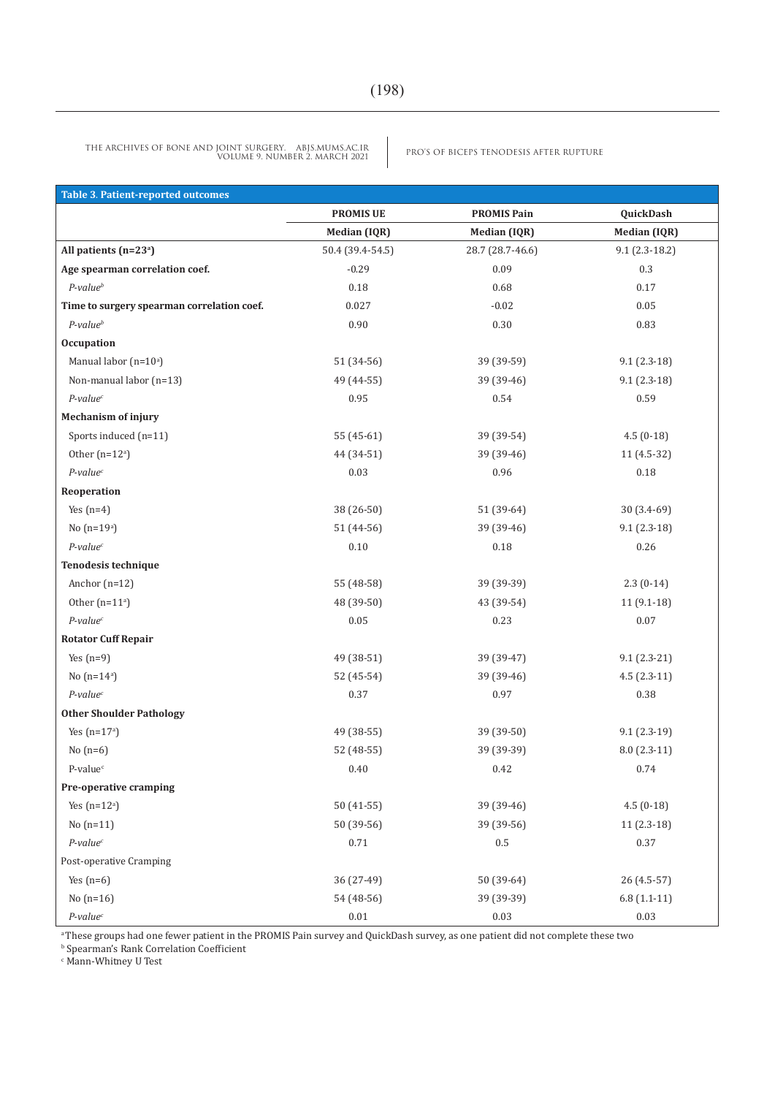PRO'S OF BICEPS TENODESIS AFTER RUPTURE THE ARCHIVES OF BONE AND JOINT SURGERY. ABJS.MUMS.AC.IR VOLUME 9. NUMBER 2. MARCH 2021

| <b>Table 3. Patient-reported outcomes</b>  |                     |                     |                     |
|--------------------------------------------|---------------------|---------------------|---------------------|
|                                            | <b>PROMIS UE</b>    | <b>PROMIS Pain</b>  | QuickDash           |
|                                            | <b>Median (IQR)</b> | <b>Median (IQR)</b> | <b>Median (IQR)</b> |
| All patients (n=23 <sup>a</sup> )          | 50.4 (39.4-54.5)    | 28.7 (28.7-46.6)    | $9.1(2.3-18.2)$     |
| Age spearman correlation coef.             | $-0.29$             | 0.09                | 0.3                 |
| $P$ -value $^b$                            | $0.18\,$            | 0.68                | 0.17                |
| Time to surgery spearman correlation coef. | 0.027               | $-0.02$             | $0.05\,$            |
| $P$ -value $^b$                            | 0.90                | $0.30\,$            | 0.83                |
| <b>Occupation</b>                          |                     |                     |                     |
| Manual labor (n=10 <sup>a</sup> )          | 51 (34-56)          | 39 (39-59)          | $9.1(2.3-18)$       |
| Non-manual labor (n=13)                    | 49 (44-55)          | 39 (39-46)          | $9.1(2.3-18)$       |
| $P$ -value <sup>c</sup>                    | 0.95                | 0.54                | 0.59                |
| <b>Mechanism of injury</b>                 |                     |                     |                     |
| Sports induced (n=11)                      | 55 (45-61)          | 39 (39-54)          | $4.5(0-18)$         |
| Other $(n=12a)$                            | 44 (34-51)          | 39 (39-46)          | $11(4.5-32)$        |
| $P$ -value <sup>c</sup>                    | 0.03                | 0.96                | 0.18                |
| Reoperation                                |                     |                     |                     |
| Yes $(n=4)$                                | 38 (26-50)          | 51 (39-64)          | $30(3.4-69)$        |
| No $(n=19^a)$                              | 51 (44-56)          | 39 (39-46)          | $9.1(2.3-18)$       |
| $P$ -value <sup>c</sup>                    | 0.10                | 0.18                | 0.26                |
| Tenodesis technique                        |                     |                     |                     |
| Anchor $(n=12)$                            | 55 (48-58)          | 39 (39-39)          | $2.3(0-14)$         |
| Other $(n=11^a)$                           | 48 (39-50)          | 43 (39-54)          | $11(9.1-18)$        |
| $P$ -value $c$                             | 0.05                | 0.23                | $0.07\,$            |
| <b>Rotator Cuff Repair</b>                 |                     |                     |                     |
| Yes $(n=9)$                                | 49 (38-51)          | 39 (39-47)          | $9.1(2.3-21)$       |
| No $(n=14^a)$                              | 52 (45-54)          | 39 (39-46)          | $4.5(2.3-11)$       |
| $P$ -value <sup>c</sup>                    | 0.37                | 0.97                | 0.38                |
| <b>Other Shoulder Pathology</b>            |                     |                     |                     |
| Yes $(n=17a)$                              | 49 (38-55)          | 39 (39-50)          | $9.1(2.3-19)$       |
| No $(n=6)$                                 | 52 (48-55)          | 39 (39-39)          | $8.0(2.3-11)$       |
| P-value <sup>c</sup>                       | 0.40                | 0.42                | 0.74                |
| Pre-operative cramping                     |                     |                     |                     |
| Yes $(n=12a)$                              | 50 (41-55)          | 39 (39-46)          | $4.5(0-18)$         |
| $No(n=11)$                                 | 50 (39-56)          | 39 (39-56)          | 11 (2.3-18)         |
| $P$ -value $c$                             | 0.71                | $0.5\,$             | 0.37                |
| Post-operative Cramping                    |                     |                     |                     |
| Yes $(n=6)$                                | 36 (27-49)          | 50 (39-64)          | 26 (4.5-57)         |
| No $(n=16)$                                | 54 (48-56)          | 39 (39-39)          | $6.8(1.1-11)$       |
| $P$ -value <sup>c</sup>                    | $0.01\,$            | $0.03\,$            | $0.03\,$            |

a These groups had one fewer patient in the PROMIS Pain survey and QuickDash survey, as one patient did not complete these two b Spearman's Rank Correlation Coefficient

c Mann-Whitney U Test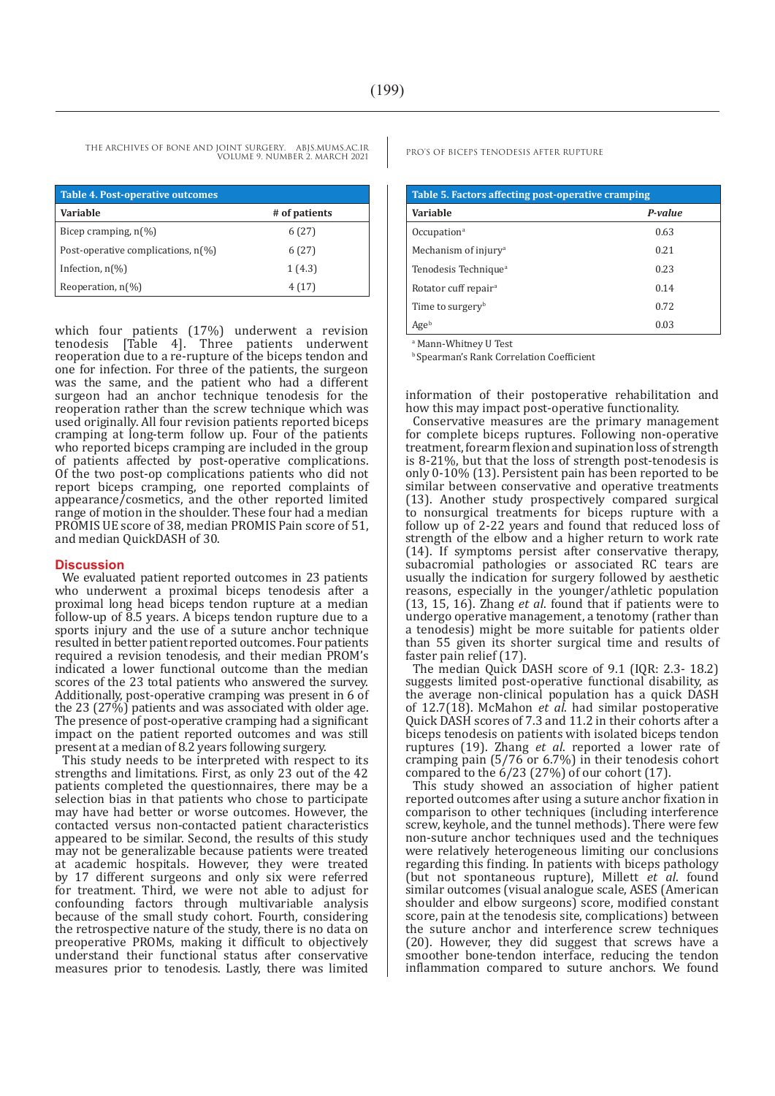| <b>Table 4. Post-operative outcomes</b>       |               |  |  |
|-----------------------------------------------|---------------|--|--|
| <b>Variable</b>                               | # of patients |  |  |
| Bicep cramping, $n\binom{9}{0}$               | 6 (27)        |  |  |
| Post-operative complications, $n\llbracket\%$ | 6(27)         |  |  |
| Infection, $n\binom{0}{0}$                    | 1(4.3)        |  |  |
| Reoperation, $n(\%)$                          | 4(17)         |  |  |

which four patients (17%) underwent a revision tenodesis [Table 4]. Three patients underwent reoperation due to a re-rupture of the biceps tendon and one for infection. For three of the patients, the surgeon was the same, and the patient who had a different surgeon had an anchor technique tenodesis for the reoperation rather than the screw technique which was used originally. All four revision patients reported biceps cramping at long-term follow up. Four of the patients who reported biceps cramping are included in the group of patients affected by post-operative complications. Of the two post-op complications patients who did not report biceps cramping, one reported complaints of appearance/cosmetics, and the other reported limited range of motion in the shoulder. These four had a median PROMIS UE score of 38, median PROMIS Pain score of 51, and median QuickDASH of 30.

#### **Discussion**

We evaluated patient reported outcomes in 23 patients who underwent a proximal biceps tenodesis after a proximal long head biceps tendon rupture at a median follow-up of 8.5 years. A biceps tendon rupture due to a sports injury and the use of a suture anchor technique resulted in better patient reported outcomes. Four patients required a revision tenodesis, and their median PROM's indicated a lower functional outcome than the median scores of the 23 total patients who answered the survey. Additionally, post-operative cramping was present in 6 of the 23 (27%) patients and was associated with older age. The presence of post-operative cramping had a significant impact on the patient reported outcomes and was still present at a median of 8.2 years following surgery.

This study needs to be interpreted with respect to its strengths and limitations. First, as only 23 out of the 42 patients completed the questionnaires, there may be a selection bias in that patients who chose to participate may have had better or worse outcomes. However, the contacted versus non-contacted patient characteristics appeared to be similar. Second, the results of this study may not be generalizable because patients were treated at academic hospitals. However, they were treated by 17 different surgeons and only six were referred for treatment. Third, we were not able to adjust for confounding factors through multivariable analysis because of the small study cohort. Fourth, considering the retrospective nature of the study, there is no data on preoperative PROMs, making it difficult to objectively understand their functional status after conservative measures prior to tenodesis. Lastly, there was limited

| Table 5. Factors affecting post-operative cramping |         |  |  |
|----------------------------------------------------|---------|--|--|
| Variable                                           | P-value |  |  |
| Occupation <sup>a</sup>                            | 0.63    |  |  |
| Mechanism of injury <sup>a</sup>                   | 0.21    |  |  |
| Tenodesis Technique <sup>a</sup>                   | 0.23    |  |  |
| Rotator cuff repair <sup>a</sup>                   | 0.14    |  |  |
| Time to surgery <sup>b</sup>                       | 0.72    |  |  |
| Age <sup>b</sup>                                   | 0.03    |  |  |

a Mann-Whitney U Test

**b** Spearman's Rank Correlation Coefficient

information of their postoperative rehabilitation and how this may impact post-operative functionality.

Conservative measures are the primary management for complete biceps ruptures. Following non-operative treatment, forearm flexion and supination loss of strength is 8-21%, but that the loss of strength post-tenodesis is only 0-10% (13). Persistent pain has been reported to be similar between conservative and operative treatments (13). Another study prospectively compared surgical to nonsurgical treatments for biceps rupture with a follow up of 2-22 years and found that reduced loss of strength of the elbow and a higher return to work rate (14). If symptoms persist after conservative therapy, subacromial pathologies or associated RC tears are usually the indication for surgery followed by aesthetic reasons, especially in the younger/athletic population (13, 15, 16). Zhang *et al*. found that if patients were to undergo operative management, a tenotomy (rather than a tenodesis) might be more suitable for patients older than 55 given its shorter surgical time and results of faster pain relief (17).

The median Quick DASH score of 9.1 (IQR: 2.3- 18.2) suggests limited post-operative functional disability, as the average non-clinical population has a quick DASH of 12.7(18). McMahon *et al*. had similar postoperative Quick DASH scores of 7.3 and 11.2 in their cohorts after a biceps tenodesis on patients with isolated biceps tendon ruptures (19). Zhang *et al*. reported a lower rate of cramping pain (5/76 or 6.7%) in their tenodesis cohort compared to the 6/23 (27%) of our cohort (17).

This study showed an association of higher patient reported outcomes after using a suture anchor fixation in comparison to other techniques (including interference screw, keyhole, and the tunnel methods). There were few non-suture anchor techniques used and the techniques were relatively heterogeneous limiting our conclusions regarding this finding. In patients with biceps pathology (but not spontaneous rupture), Millett *et al*. found similar outcomes (visual analogue scale, ASES (American shoulder and elbow surgeons) score, modified constant score, pain at the tenodesis site, complications) between the suture anchor and interference screw techniques (20). However, they did suggest that screws have a smoother bone-tendon interface, reducing the tendon inflammation compared to suture anchors. We found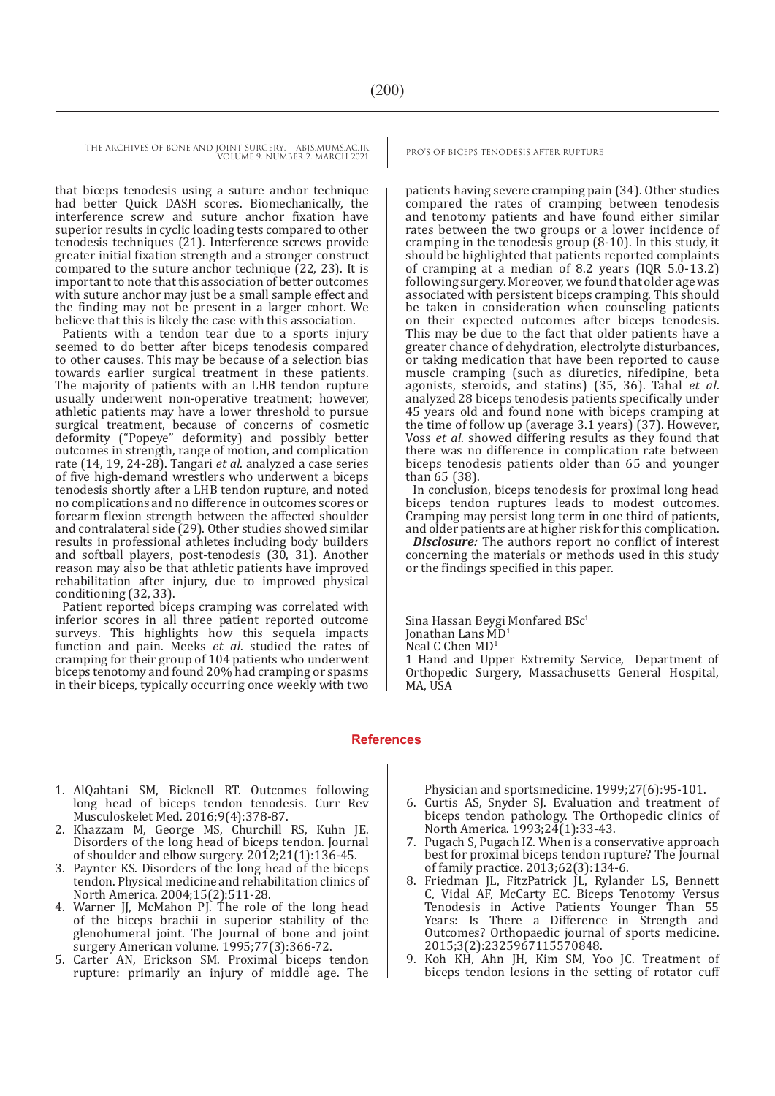that biceps tenodesis using a suture anchor technique had better Quick DASH scores. Biomechanically, the interference screw and suture anchor fixation have superior results in cyclic loading tests compared to other tenodesis techniques (21). Interference screws provide greater initial fixation strength and a stronger construct compared to the suture anchor technique (22, 23). It is important to note that this association of better outcomes with suture anchor may just be a small sample effect and the finding may not be present in a larger cohort. We believe that this is likely the case with this association.

Patients with a tendon tear due to a sports injury seemed to do better after biceps tenodesis compared to other causes. This may be because of a selection bias towards earlier surgical treatment in these patients. The majority of patients with an LHB tendon rupture usually underwent non-operative treatment; however, athletic patients may have a lower threshold to pursue surgical treatment, because of concerns of cosmetic deformity ("Popeye" deformity) and possibly better outcomes in strength, range of motion, and complication rate (14, 19, 24-28). Tangari *et al*. analyzed a case series of five high-demand wrestlers who underwent a biceps tenodesis shortly after a LHB tendon rupture, and noted no complications and no difference in outcomes scores or forearm flexion strength between the affected shoulder and contralateral side (29). Other studies showed similar results in professional athletes including body builders and softball players, post-tenodesis (30, 31). Another reason may also be that athletic patients have improved rehabilitation after injury, due to improved physical conditioning (32, 33).

Patient reported biceps cramping was correlated with inferior scores in all three patient reported outcome surveys. This highlights how this sequela impacts function and pain. Meeks *et al*. studied the rates of cramping for their group of 104 patients who underwent biceps tenotomy and found 20% had cramping or spasms in their biceps, typically occurring once weekly with two

patients having severe cramping pain (34). Other studies compared the rates of cramping between tenodesis and tenotomy patients and have found either similar rates between the two groups or a lower incidence of cramping in the tenodesis group (8-10). In this study, it should be highlighted that patients reported complaints of cramping at a median of 8.2 years (IQR 5.0-13.2) following surgery. Moreover, we found that older age was associated with persistent biceps cramping. This should be taken in consideration when counseling patients on their expected outcomes after biceps tenodesis. This may be due to the fact that older patients have a greater chance of dehydration, electrolyte disturbances, or taking medication that have been reported to cause muscle cramping (such as diuretics, nifedipine, beta agonists, steroids, and statins) (35, 36). Tahal *et al*. analyzed 28 biceps tenodesis patients specifically under 45 years old and found none with biceps cramping at the time of follow up (average 3.1 years) (37). However, Voss *et al*. showed differing results as they found that there was no difference in complication rate between biceps tenodesis patients older than 65 and younger than 65 (38).

In conclusion, biceps tenodesis for proximal long head biceps tendon ruptures leads to modest outcomes. Cramping may persist long term in one third of patients, and older patients are at higher risk for this complication.

*Disclosure:* The authors report no conflict of interest concerning the materials or methods used in this study or the findings specified in this paper.

Sina Hassan Bevgi Monfared BSc<sup>1</sup> Jonathan Lans MD<sup>1</sup> Neal C Chen MD<sup>1</sup> 1 Hand and Upper Extremity Service, Department of Orthopedic Surgery, Massachusetts General Hospital, MA, USA

#### **References**

- 1. AlQahtani SM, Bicknell RT. Outcomes following long head of biceps tendon tenodesis. Curr Rev Musculoskelet Med. 2016;9(4):378-87.
- 2. Khazzam M, George MS, Churchill RS, Kuhn JE. Disorders of the long head of biceps tendon. Journal of shoulder and elbow surgery. 2012;21(1):136-45.
- 3. Paynter KS. Disorders of the long head of the biceps tendon. Physical medicine and rehabilitation clinics of North America. 2004;15(2):511-28.
- 4. Warner JJ, McMahon PJ. The role of the long head of the biceps brachii in superior stability of the glenohumeral joint. The Journal of bone and joint surgery American volume. 1995;77(3):366-72.
- 5. Carter AN, Erickson SM. Proximal biceps tendon rupture: primarily an injury of middle age. The

Physician and sportsmedicine. 1999;27(6):95-101.

- 6. Curtis AS, Snyder SJ. Evaluation and treatment of biceps tendon pathology. The Orthopedic clinics of North America. 1993;24(1):33-43.
- 7. Pugach S, Pugach IZ. When is a conservative approach best for proximal biceps tendon rupture? The Journal of family practice. 2013;62(3):134-6.
- 8. Friedman JL, FitzPatrick JL, Rylander LS, Bennett C, Vidal AF, McCarty EC. Biceps Tenotomy Versus Tenodesis in Active Patients Younger Than 55 Years: Is There a Difference in Strength and Outcomes? Orthopaedic journal of sports medicine. 2015;3(2):2325967115570848.
- 9. Koh KH, Ahn JH, Kim SM, Yoo JC. Treatment of biceps tendon lesions in the setting of rotator cuff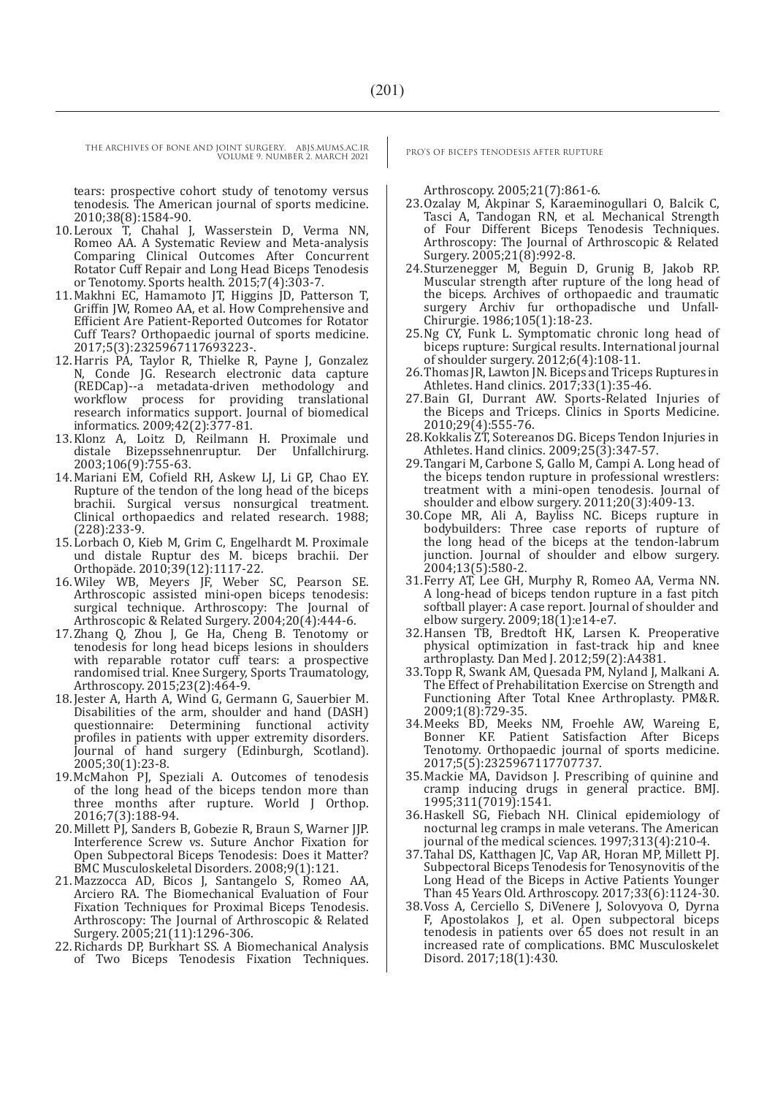tears: prospective cohort study of tenotomy versus tenodesis. The American journal of sports medicine. 2010;38(8):1584-90.

- 10.Leroux T, Chahal J, Wasserstein D, Verma NN, Romeo AA. A Systematic Review and Meta-analysis Comparing Clinical Outcomes After Concurrent Rotator Cuff Repair and Long Head Biceps Tenodesis or Tenotomy. Sports health. 2015;7(4):303-7.
- 11.Makhni EC, Hamamoto JT, Higgins JD, Patterson T, Griffin JW, Romeo AA, et al. How Comprehensive and Efficient Are Patient-Reported Outcomes for Rotator Cuff Tears? Orthopaedic journal of sports medicine. 2017;5(3):2325967117693223-.
- 12.Harris PA, Taylor R, Thielke R, Payne J, Gonzalez N, Conde JG. Research electronic data capture (REDCap)--a metadata-driven methodology and workflow process for providing translational research informatics support. Journal of biomedical informatics. 2009;42(2):377-81.
- 13.Klonz A, Loitz D, Reilmann H. Proximale und distale Bizepssehnenruptur. Der Unfallchirurg. 2003;106(9):755-63.
- 14.Mariani EM, Cofield RH, Askew LJ, Li GP, Chao EY. Rupture of the tendon of the long head of the biceps brachii. Surgical versus nonsurgical treatment. Clinical orthopaedics and related research. 1988; (228):233-9.
- 15.Lorbach O, Kieb M, Grim C, Engelhardt M. Proximale und distale Ruptur des M. biceps brachii. Der Orthopäde. 2010;39(12):1117-22.
- 16.Wiley WB, Meyers JF, Weber SC, Pearson SE. Arthroscopic assisted mini-open biceps tenodesis: surgical technique. Arthroscopy: The Journal of Arthroscopic & Related Surgery. 2004;20(4):444-6.
- 17.Zhang Q, Zhou J, Ge Ha, Cheng B. Tenotomy or tenodesis for long head biceps lesions in shoulders with reparable rotator cuff tears: a prospective randomised trial. Knee Surgery, Sports Traumatology, Arthroscopy. 2015;23(2):464-9.
- 18.Jester A, Harth A, Wind G, Germann G, Sauerbier M. Disabilities of the arm, shoulder and hand (DASH) questionnaire: Determining functional activity questionnaire: Determining functional profiles in patients with upper extremity disorders. Journal of hand surgery (Edinburgh, Scotland). 2005;30(1):23-8.
- 19.McMahon PJ, Speziali A. Outcomes of tenodesis of the long head of the biceps tendon more than three months after rupture. World J Orthop. 2016;7(3):188-94.
- 20.Millett PJ, Sanders B, Gobezie R, Braun S, Warner JJP. Interference Screw vs. Suture Anchor Fixation for Open Subpectoral Biceps Tenodesis: Does it Matter? BMC Musculoskeletal Disorders. 2008;9(1):121.
- 21.Mazzocca AD, Bicos J, Santangelo S, Romeo AA, Arciero RA. The Biomechanical Evaluation of Four Fixation Techniques for Proximal Biceps Tenodesis. Arthroscopy: The Journal of Arthroscopic & Related Surgery. 2005;21(11):1296-306.
- 22.Richards DP, Burkhart SS. A Biomechanical Analysis of Two Biceps Tenodesis Fixation Techniques.

Arthroscopy. 2005;21(7):861-6.

- 23.Ozalay M, Akpinar S, Karaeminogullari O, Balcik C, Tasci A, Tandogan RN, et al. Mechanical Strength of Four Different Biceps Tenodesis Techniques. Arthroscopy: The Journal of Arthroscopic & Related Surgery. 2005;21(8):992-8.
- 24.Sturzenegger M, Beguin D, Grunig B, Jakob RP. Muscular strength after rupture of the long head of the biceps. Archives of orthopaedic and traumatic surgery Archiv fur orthopadische und Unfall-Chirurgie. 1986;105(1):18-23.
- 25.Ng CY, Funk L. Symptomatic chronic long head of biceps rupture: Surgical results. International journal of shoulder surgery. 2012;6(4):108-11.
- 26.Thomas JR, Lawton JN. Biceps and Triceps Ruptures in Athletes. Hand clinics. 2017;33(1):35-46.
- 27.Bain GI, Durrant AW. Sports-Related Injuries of the Biceps and Triceps. Clinics in Sports Medicine. 2010;29(4):555-76.
- 28.Kokkalis ZT, Sotereanos DG. Biceps Tendon Injuries in Athletes. Hand clinics. 2009;25(3):347-57.
- 29.Tangari M, Carbone S, Gallo M, Campi A. Long head of the biceps tendon rupture in professional wrestlers: treatment with a mini-open tenodesis. Journal of shoulder and elbow surgery. 2011;20(3):409-13.
- 30.Cope MR, Ali A, Bayliss NC. Biceps rupture in bodybuilders: Three case reports of rupture of the long head of the biceps at the tendon-labrum junction. Journal of shoulder and elbow surgery. 2004;13(5):580-2.
- 31.Ferry AT, Lee GH, Murphy R, Romeo AA, Verma NN. A long-head of biceps tendon rupture in a fast pitch softball player: A case report. Journal of shoulder and elbow surgery. 2009;18(1):e14-e7.
- 32.Hansen TB, Bredtoft HK, Larsen K. Preoperative physical optimization in fast-track hip and knee arthroplasty. Dan Med J. 2012;59(2):A4381.
- 33.Topp R, Swank AM, Quesada PM, Nyland J, Malkani A. The Effect of Prehabilitation Exercise on Strength and Functioning After Total Knee Arthroplasty. PM&R. 2009;1(8):729-35.
- 34.Meeks BD, Meeks NM, Froehle AW, Wareing E, Bonner KF. Patient Satisfaction After Biceps Tenotomy. Orthopaedic journal of sports medicine. 2017;5(5):2325967117707737.
- 35.Mackie MA, Davidson J. Prescribing of quinine and cramp inducing drugs in general practice. BMJ. 1995;311(7019):1541.
- 36.Haskell SG, Fiebach NH. Clinical epidemiology of nocturnal leg cramps in male veterans. The American journal of the medical sciences. 1997;313(4):210-4.
- 37.Tahal DS, Katthagen JC, Vap AR, Horan MP, Millett PJ. Subpectoral Biceps Tenodesis for Tenosynovitis of the Long Head of the Biceps in Active Patients Younger Than 45 Years Old. Arthroscopy. 2017;33(6):1124-30.
- 38.Voss A, Cerciello S, DiVenere J, Solovyova O, Dyrna F, Apostolakos J, et al. Open subpectoral biceps tenodesis in patients over 65 does not result in an increased rate of complications. BMC Musculoskelet Disord. 2017;18(1):430.